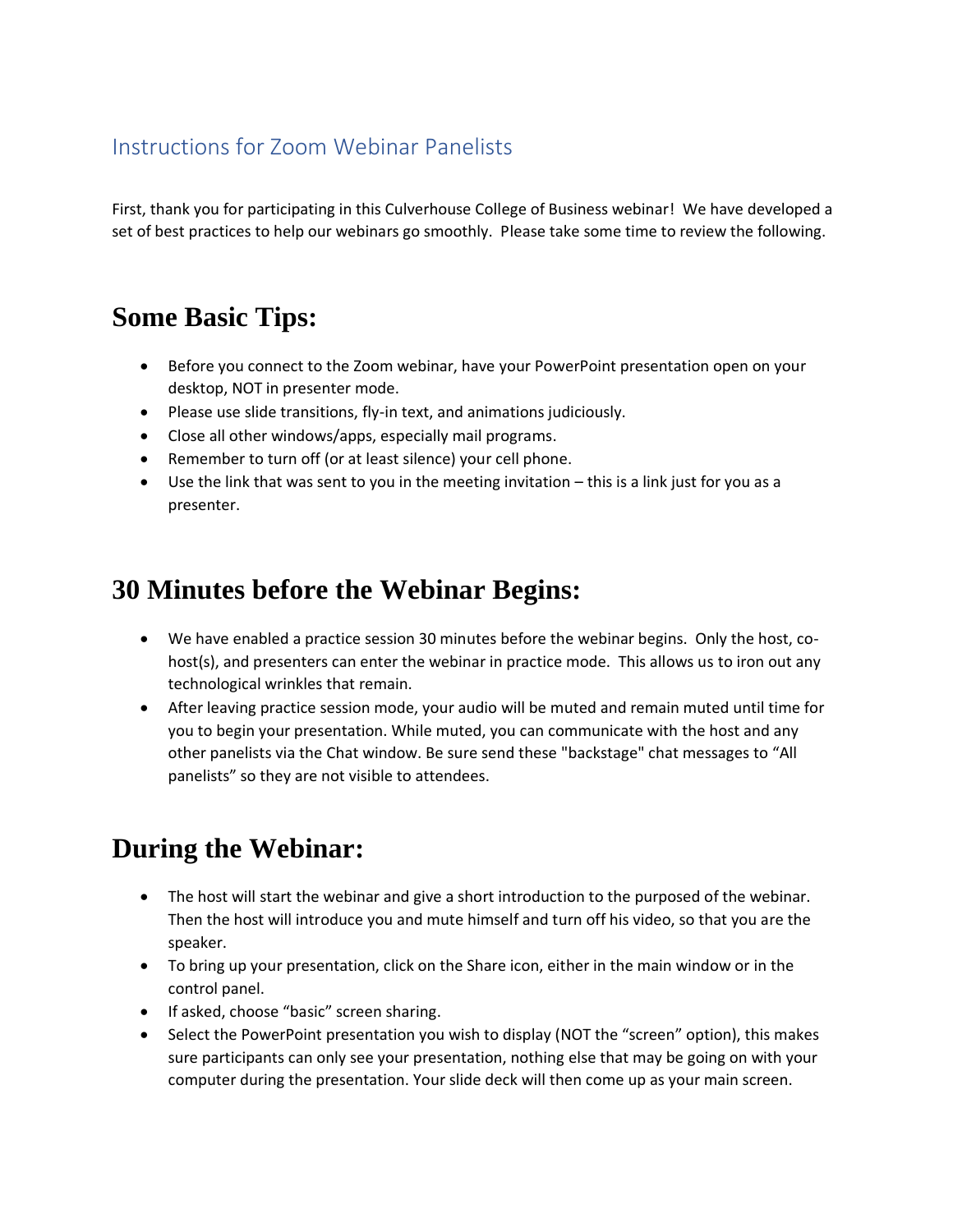## Instructions for Zoom Webinar Panelists

First, thank you for participating in this Culverhouse College of Business webinar! We have developed a set of best practices to help our webinars go smoothly. Please take some time to review the following.

## **Some Basic Tips:**

- Before you connect to the Zoom webinar, have your PowerPoint presentation open on your desktop, NOT in presenter mode.
- Please use slide transitions, fly-in text, and animations judiciously.
- Close all other windows/apps, especially mail programs.
- Remember to turn off (or at least silence) your cell phone.
- Use the link that was sent to you in the meeting invitation this is a link just for you as a presenter.

## **30 Minutes before the Webinar Begins:**

- We have enabled a practice session 30 minutes before the webinar begins. Only the host, cohost(s), and presenters can enter the webinar in practice mode. This allows us to iron out any technological wrinkles that remain.
- After leaving practice session mode, your audio will be muted and remain muted until time for you to begin your presentation. While muted, you can communicate with the host and any other panelists via the Chat window. Be sure send these "backstage" chat messages to "All panelists" so they are not visible to attendees.

## **During the Webinar:**

- The host will start the webinar and give a short introduction to the purposed of the webinar. Then the host will introduce you and mute himself and turn off his video, so that you are the speaker.
- To bring up your presentation, click on the Share icon, either in the main window or in the control panel.
- If asked, choose "basic" screen sharing.
- Select the PowerPoint presentation you wish to display (NOT the "screen" option), this makes sure participants can only see your presentation, nothing else that may be going on with your computer during the presentation. Your slide deck will then come up as your main screen.